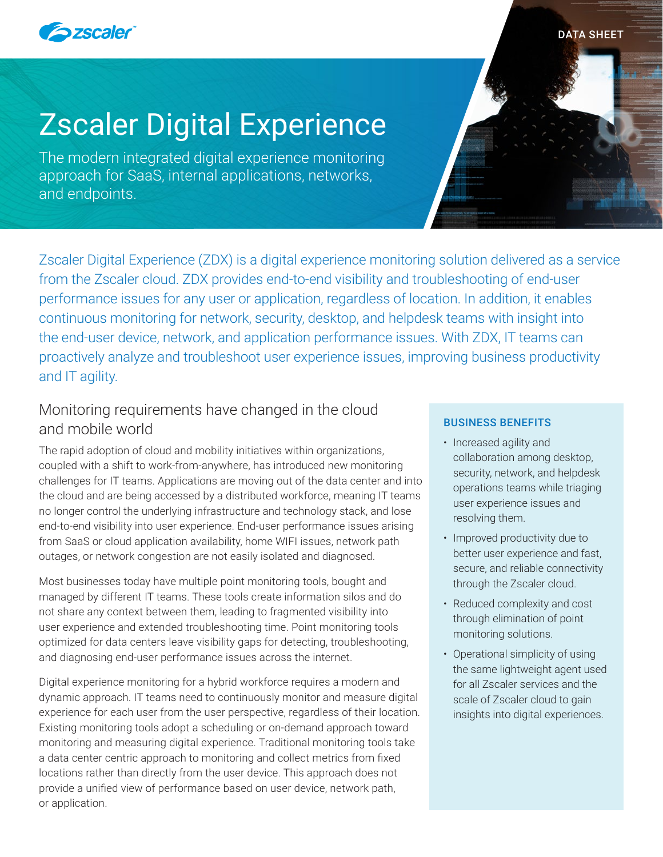

#### DATA SHEET

# Zscaler Digital Experience

The modern integrated digital experience monitoring approach for SaaS, internal applications, networks, and endpoints.

Zscaler Digital Experience (ZDX) is a digital experience monitoring solution delivered as a service from the Zscaler cloud. ZDX provides end-to-end visibility and troubleshooting of end-user performance issues for any user or application, regardless of location. In addition, it enables continuous monitoring for network, security, desktop, and helpdesk teams with insight into the end-user device, network, and application performance issues. With ZDX, IT teams can proactively analyze and troubleshoot user experience issues, improving business productivity and IT agility.

# Monitoring requirements have changed in the cloud and mobile world

The rapid adoption of cloud and mobility initiatives within organizations, coupled with a shift to work-from-anywhere, has introduced new monitoring challenges for IT teams. Applications are moving out of the data center and into the cloud and are being accessed by a distributed workforce, meaning IT teams no longer control the underlying infrastructure and technology stack, and lose end-to-end visibility into user experience. End-user performance issues arising from SaaS or cloud application availability, home WIFI issues, network path outages, or network congestion are not easily isolated and diagnosed.

Most businesses today have multiple point monitoring tools, bought and managed by different IT teams. These tools create information silos and do not share any context between them, leading to fragmented visibility into user experience and extended troubleshooting time. Point monitoring tools optimized for data centers leave visibility gaps for detecting, troubleshooting, and diagnosing end-user performance issues across the internet.

Digital experience monitoring for a hybrid workforce requires a modern and dynamic approach. IT teams need to continuously monitor and measure digital experience for each user from the user perspective, regardless of their location. Existing monitoring tools adopt a scheduling or on-demand approach toward monitoring and measuring digital experience. Traditional monitoring tools take a data center centric approach to monitoring and collect metrics from fixed locations rather than directly from the user device. This approach does not provide a unified view of performance based on user device, network path, or application.

#### BUSINESS BENEFITS

- Increased agility and collaboration among desktop, security, network, and helpdesk operations teams while triaging user experience issues and resolving them.
- Improved productivity due to better user experience and fast, secure, and reliable connectivity through the Zscaler cloud.
- Reduced complexity and cost through elimination of point monitoring solutions.
- Operational simplicity of using the same lightweight agent used for all Zscaler services and the scale of Zscaler cloud to gain insights into digital experiences.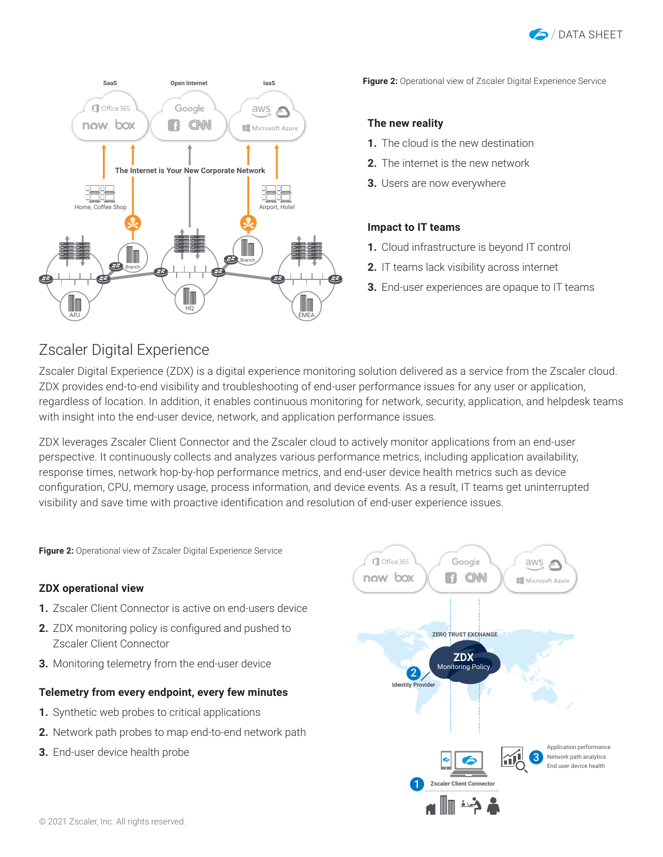



**Figure 2:** Operational view of Zscaler Digital Experience Service

#### **The new reality**

- **1.** The cloud is the new destination
- **2.** The internet is the new network
- **3.** Users are now everywhere

#### **Impact to IT teams**

- **1.** Cloud infrastructure is beyond IT control
- **2.** IT teams lack visibility across internet
- **3.** End-user experiences are opaque to IT teams

## Zscaler Digital Experience

Zscaler Digital Experience (ZDX) is a digital experience monitoring solution delivered as a service from the Zscaler cloud. ZDX provides end-to-end visibility and troubleshooting of end-user performance issues for any user or application, regardless of location. In addition, it enables continuous monitoring for network, security, application, and helpdesk teams with insight into the end-user device, network, and application performance issues.

ZDX leverages Zscaler Client Connector and the Zscaler cloud to actively monitor applications from an end-user perspective. It continuously collects and analyzes various performance metrics, including application availability, response times, network hop-by-hop performance metrics, and end-user device health metrics such as device configuration, CPU, memory usage, process information, and device events. As a result, IT teams get uninterrupted visibility and save time with proactive identification and resolution of end-user experience issues.

**Figure 2:** Operational view of Zscaler Digital Experience Service

#### **ZDX operational view**

- **1.** Zscaler Client Connector is active on end-users device
- **2.** ZDX monitoring policy is configured and pushed to Zscaler Client Connector
- **3.** Monitoring telemetry from the end-user device

#### **Telemetry from every endpoint, every few minutes**

- **1.** Synthetic web probes to critical applications
- **2.** Network path probes to map end-to-end network path
- **3.** End-user device health probe

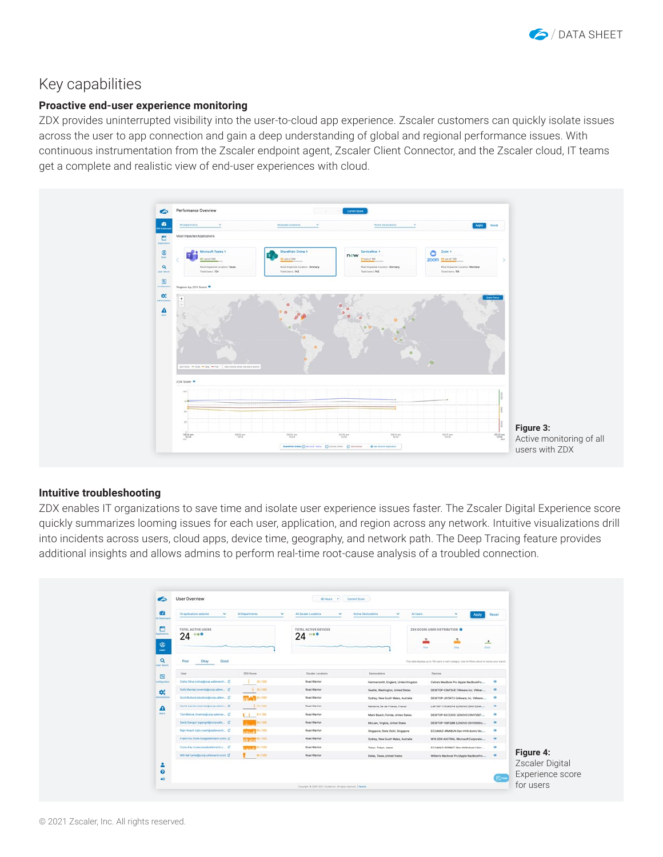

## Key capabilities

#### **Proactive end-user experience monitoring**

ZDX provides uninterrupted visibility into the user-to-cloud app experience. Zscaler customers can quickly isolate issues across the user to app connection and gain a deep understanding of global and regional performance issues. With continuous instrumentation from the Zscaler endpoint agent, Zscaler Client Connector, and the Zscaler cloud, IT teams get a complete and realistic view of end-user experiences with cloud.



#### **Intuitive troubleshooting**

ZDX enables IT organizations to save time and isolate user experience issues faster. The Zscaler Digital Experience score quickly summarizes looming issues for each user, application, and region across any network. Intuitive visualizations drill into incidents across users, cloud apps, device time, geography, and network path. The Deep Tracing feature provides additional insights and allows admins to perform real-time root-cause analysis of a troubled connection.

| $\bullet$                              | User Overview                                        |                          | 48 Hours = V   Current Score            |                                              |                                                                                                     |               |                                     |
|----------------------------------------|------------------------------------------------------|--------------------------|-----------------------------------------|----------------------------------------------|-----------------------------------------------------------------------------------------------------|---------------|-------------------------------------|
| Œ<br><b>DK Geidboard</b>               | 14 applications selected<br>$\overline{\phantom{a}}$ | Al Departments<br>$\sim$ | All Zscaler Locations<br>$\sim$         | <b>Active Geologations</b><br>All Users<br>v | Apply                                                                                               | Reset         |                                     |
| ▭<br><b><i><u>Applications</u></i></b> | TOTAL ACTIVE USERS<br>24                             |                          | <b>TOTAL ACTIVE DEVICES</b><br>$24 - 0$ |                                              | ZOX SCORE USER DISTRIBUTION O<br>∸                                                                  |               |                                     |
| ಄<br><b>Charles</b>                    |                                                      |                          |                                         |                                              | Foot<br><b>Cost</b><br>Olay                                                                         |               |                                     |
| $\mathbf{Q}$<br>Jaar Search            | Okay<br>Good<br>Poor                                 |                          |                                         |                                              | This table displays up to 100 users in each category. Use the filliers above to narrow your search. |               |                                     |
| 国                                      | User                                                 | ZOX Soore                | Zscaler Locations                       | Ceolocations                                 | Devices.                                                                                            |               |                                     |
| unfiguration                           | Celina Silva (csilva@corp.safemarch EC               | 1.35/100                 | Road Warrior                            | Hammersmith, England, United Kingdom         | Celina's MacBook Pro (Apple MacBookPro                                                              | $\mathcal{L}$ |                                     |
| ₩.                                     | Sofia Merida (smerida@corp.safem ) EC                | $+ 35/100$               | Road Warrior                            | Seattle, Washington, United States           | DESKTOP-CBAFSUE (VMware, Inc. VMwar                                                                 |               |                                     |
| delinistration                         | Scott Bulock (sbullock@corp.safem D)                 | <b>TTMP 42/100</b>       | Road Warrior                            | Sydney, New South Wales, Australia           | DESKTOP-JEVSKTJ (VMware, Inc. VMware                                                                |               |                                     |
| Α                                      | Cyrile Larrieu (clarifou@corp.cafem EC)              | 6 477 100                | <b>Road Warrior</b>                     | Nantene, le-de-France, France                | LAPTOP-77K3K0T4 ELENOVO ZONYSZNA                                                                    | $-48$         |                                     |
| Airli                                  | Tom Mehok (tinehok@corp.safemar EC)                  | $-1.51/00$               | Road Warrior                            | Mami Beach, Florida, United States           | DESKTOP-6A7230S ILENOVO 20NYSS87                                                                    | œ             |                                     |
|                                        | Sanjit Ganguli jaganguli@corp.safe [C]               | 547100                   | Road Warrior                            | McLean, Virginia, United States              | DESKTOP-10EFQ8B ILENOVO 20H1006DU                                                                   | $\circ$       |                                     |
|                                        | Rajv Roach (rajv.roach@safemarch E2)                 | <b>NOTE</b> 60 F100      | Road Warrior                            | Singapore, State (NA), Singapore             | EC2AMAZ-4RMBUN Dien HVM domU Mc                                                                     |               |                                     |
|                                        | Frank Fox (frank fox@safemanch.com) [C]              | <b>TOOL FOR MAIN</b>     | Road Warrior                            | Sydney, New South Wales, Australia           | W10-2DX-AUSTRAL Microsoft Corporatio                                                                |               |                                     |
|                                        | Cores Kay (complex)@safemanth.c [2]                  | 2011/02/100              | Road Warrior                            | Tekyo, Tokyo, Japan                          | EC2AMAZ-55PRICT (Ken HVM doml) Micr                                                                 | $\circ$       |                                     |
|                                        | Will Hall (whall@corp.sufemarch.com) [2]             | 64/100                   | Road Warrior                            | Dallas, Texas, United States                 | Willam's MacBook Pro (Apple MacBookPro                                                              | $\bullet$     | Figure 4:                           |
| ÷<br>$\bullet$<br>$\clubsuit$          |                                                      |                          |                                         |                                              |                                                                                                     |               | Zscaler Digital<br>Experience score |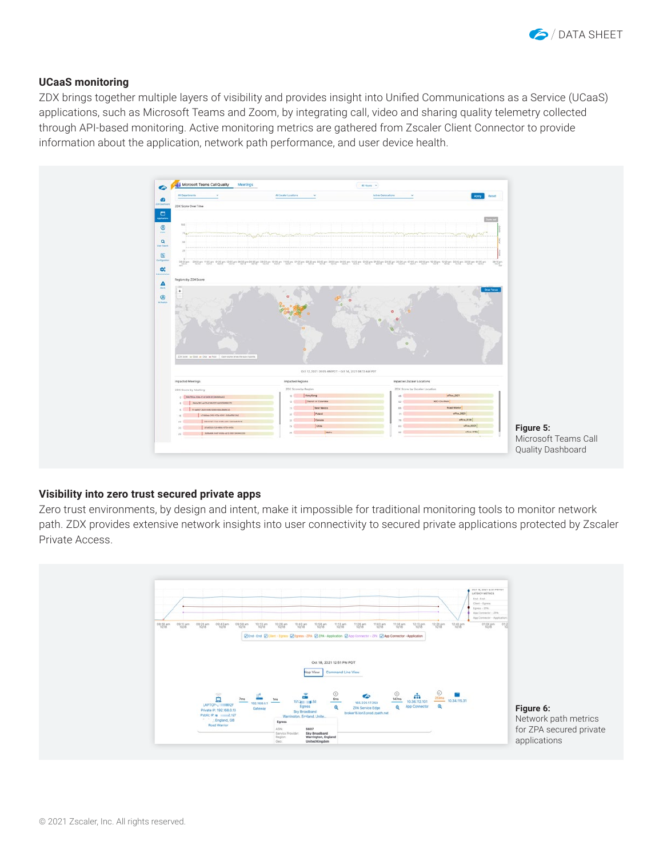

#### **UCaaS monitoring**

ZDX brings together multiple layers of visibility and provides insight into Unified Communications as a Service (UCaaS) applications, such as Microsoft Teams and Zoom, by integrating call, video and sharing quality telemetry collected through API-based monitoring. Active monitoring metrics are gathered from Zscaler Client Connector to provide information about the application, network path performance, and user device health.



#### **Visibility into zero trust secured private apps**

Zero trust environments, by design and intent, make it impossible for traditional monitoring tools to monitor network path. ZDX provides extensive network insights into user connectivity to secured private applications protected by Zscaler Private Access.

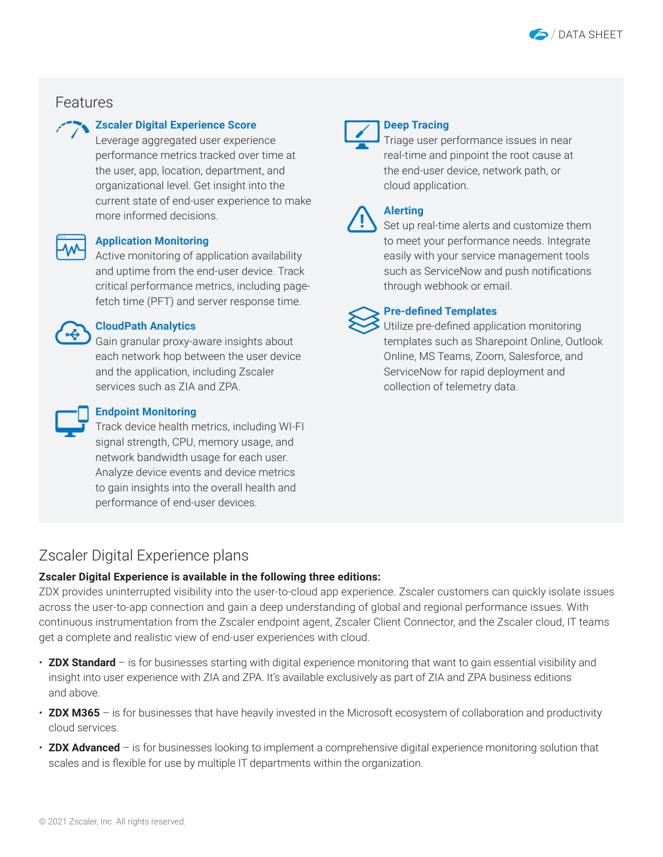

## Features

#### **Zscaler Digital Experience Score**

Leverage aggregated user experience performance metrics tracked over time at the user, app, location, department, and organizational level. Get insight into the current state of end-user experience to make more informed decisions.



#### **Application Monitoring**

Active monitoring of application availability and uptime from the end-user device. Track critical performance metrics, including pagefetch time (PFT) and server response time.



#### **CloudPath Analytics**

Gain granular proxy-aware insights about each network hop between the user device and the application, including Zscaler services such as ZIA and ZPA.



#### **Endpoint Monitoring**

Track device health metrics, including WI-FI signal strength, CPU, memory usage, and network bandwidth usage for each user. Analyze device events and device metrics to gain insights into the overall health and performance of end-user devices.



#### **Deep Tracing**

Triage user performance issues in near real-time and pinpoint the root cause at the end-user device, network path, or cloud application.

|  | ı |
|--|---|
|  |   |

## **Alerting**

Set up real-time alerts and customize them to meet your performance needs. Integrate easily with your service management tools such as ServiceNow and push notifications through webhook or email.

### **Pre-defined Templates**

Utilize pre-defined application monitoring templates such as Sharepoint Online, Outlook Online, MS Teams, Zoom, Salesforce, and ServiceNow for rapid deployment and collection of telemetry data.

## Zscaler Digital Experience plans

#### **Zscaler Digital Experience is available in the following three editions:**

ZDX provides uninterrupted visibility into the user-to-cloud app experience. Zscaler customers can quickly isolate issues across the user-to-app connection and gain a deep understanding of global and regional performance issues. With continuous instrumentation from the Zscaler endpoint agent, Zscaler Client Connector, and the Zscaler cloud, IT teams get a complete and realistic view of end-user experiences with cloud.

- **ZDX Standard** is for businesses starting with digital experience monitoring that want to gain essential visibility and insight into user experience with ZIA and ZPA. It's available exclusively as part of ZIA and ZPA business editions and above.
- **ZDX M365** is for businesses that have heavily invested in the Microsoft ecosystem of collaboration and productivity cloud services.
- **ZDX Advanced** is for businesses looking to implement a comprehensive digital experience monitoring solution that scales and is flexible for use by multiple IT departments within the organization.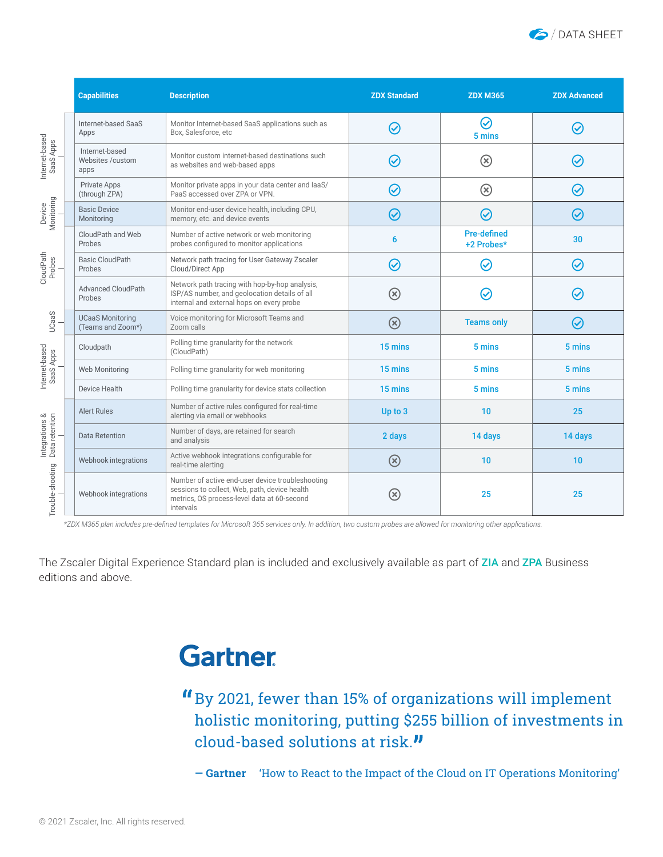

|                                  | <b>Capabilities</b>                          | <b>Description</b>                                                                                                                                            | <b>ZDX Standard</b> | <b>ZDX M365</b>                  | <b>ZDX Advanced</b> |
|----------------------------------|----------------------------------------------|---------------------------------------------------------------------------------------------------------------------------------------------------------------|---------------------|----------------------------------|---------------------|
|                                  | Internet-based SaaS<br>Apps                  | Monitor Internet-based SaaS applications such as<br>Box, Salesforce, etc                                                                                      | ⊘                   | $\bm{\varnothing}$<br>5 mins     | $\bm{\varnothing}$  |
| Internet-based<br>SaaS Apps      | Internet-based<br>Websites / custom<br>apps  | Monitor custom internet-based destinations such<br>as websites and web-based apps                                                                             | $\omega$            | $\left( \mathbf{\%}\right)$      | $\bm{\mathcal{S}}$  |
|                                  | Private Apps<br>(through ZPA)                | Monitor private apps in your data center and laaS/<br>PaaS accessed over ZPA or VPN.                                                                          | $\bm{\varnothing}$  | $\circledR$                      | $\bm{\mathcal{S}}$  |
| Device<br>Monitoring             | <b>Basic Device</b><br>Monitoring            | Monitor end-user device health, including CPU,<br>memory, etc. and device events                                                                              | $\bm{\omega}$       | $\bm{\varnothing}$               | $\bm{\omega}$       |
|                                  | CloudPath and Web<br>Probes                  | Number of active network or web monitoring<br>probes configured to monitor applications                                                                       | 6                   | <b>Pre-defined</b><br>+2 Probes* | 30                  |
| CloudPath<br>Probes              | <b>Basic CloudPath</b><br>Probes             | Network path tracing for User Gateway Zscaler<br>Cloud/Direct App                                                                                             | $\bm{\varnothing}$  | $\bm{\mathcal{C}}$               | $\bm{\varnothing}$  |
|                                  | <b>Advanced CloudPath</b><br>Probes          | Network path tracing with hop-by-hop analysis,<br>ISP/AS number, and geolocation details of all<br>internal and external hops on every probe                  | $\circledR$         | Ø                                | $\bm{\mathcal{C}}$  |
| UCaaS                            | <b>UCaaS Monitoring</b><br>(Teams and Zoom*) | Voice monitoring for Microsoft Teams and<br>Zoom calls                                                                                                        | $\circledR$         | <b>Teams only</b>                | $\bm{\varpi}$       |
|                                  | Cloudpath                                    | Polling time granularity for the network<br>(CloudPath)                                                                                                       | 15 mins             | 5 mins                           | 5 mins              |
| Internet-based<br>SaaS Apps      | Web Monitoring                               | Polling time granularity for web monitoring                                                                                                                   | 15 mins             | 5 mins                           | 5 mins              |
|                                  | <b>Device Health</b>                         | Polling time granularity for device stats collection                                                                                                          | 15 mins             | 5 mins                           | 5 mins              |
|                                  | <b>Alert Rules</b>                           | Number of active rules configured for real-time<br>alerting via email or webhooks                                                                             | Up to 3             | 10                               | 25                  |
| Integrations &<br>Data retention | Data Retention                               | Number of days, are retained for search<br>and analysis                                                                                                       | 2 days              | 14 days                          | 14 days             |
|                                  | Webhook integrations                         | Active webhook integrations configurable for<br>real-time alerting                                                                                            | $\circledR$         | 10                               | 10                  |
| Trouble-shooting                 | Webhook integrations                         | Number of active end-user device troubleshooting<br>sessions to collect, Web, path, device health<br>metrics, OS process-level data at 60-second<br>intervals | $(\mathsf{x})$      | 25                               | 25                  |

*\*ZDX M365 plan includes pre-defined templates for Microsoft 365 services only. In addition, two custom probes are allowed for monitoring other applications.* 

The Zscaler Digital Experience Standard plan is included and exclusively available as part of [ZIA](https://www.zscaler.com/resources/data-sheets/zscaler-internet-access.pdf) and [ZPA](https://www.zscaler.com/resources/data-sheets/zscaler-private-access.pdf) Business editions and above.

# **Gartner**

# By 2021, fewer than 15% of organizations will implement holistic monitoring, putting \$255 billion of investments in cloud-based solutions at risk.

— Gartner – 'How to React to the Impact of the Cloud on IT Operations Monitoring'